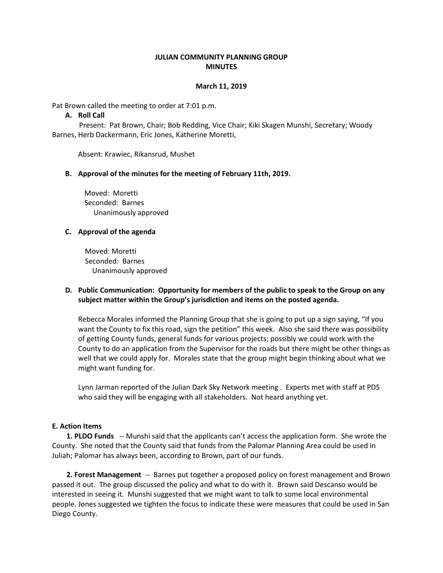### **JULIAN COMMUNITY PLANNING GROUP MINUTES**

#### **March 11, 2019**

Pat Brown called the meeting to order at 7:01 p.m.

#### **A. Roll Call**

 Present: Pat Brown, Chair; Bob Redding, Vice Chair; Kiki Skagen Munshi, Secretary; Woody Barnes, Herb Dackermann, Eric Jones, Katherine Moretti,

Absent: Krawiec, Rikansrud, Mushet

#### **B. Approval of the minutes for the meeting of February 11th, 2019.**

 Moved: Moretti Seconded: Barnes Unanimously approved

#### **C. Approval of the agenda**

 Moved: Moretti Seconded: Barnes Unanimously approved

## **D. Public Communication: Opportunity for members of the public to speak to the Group on any subject matter within the Group's jurisdiction and items on the posted agenda.**

Rebecca Morales informed the Planning Group that she is going to put up a sign saying, "If you want the County to fix this road, sign the petition" this week. Also she said there was possibility of getting County funds, general funds for various projects; possibly we could work with the County to do an application from the Supervisor for the roads but there might be other things as well that we could apply for. Morales state that the group might begin thinking about what we might want funding for.

Lynn Jarman reported of the Julian Dark Sky Network meeting . Experts met with staff at PDS who said they will be engaging with all stakeholders. Not heard anything yet.

#### **E. Action Items**

 **1. PLDO Funds** -- Munshi said that the applicants can't access the application form. She wrote the County. She noted that the County said that funds from the Palomar Planning Area could be used in Juliah; Palomar has always been, according to Brown, part of our funds.

 **2. Forest Management** -- Barnes put together a proposed policy on forest management and Brown passed it out. The group discussed the policy and what to do with it. Brown said Descanso would be interested in seeing it. Munshi suggested that we might want to talk to some local environmental people. Jones suggested we tighten the focus to indicate these were measures that could be used in San Diego County.